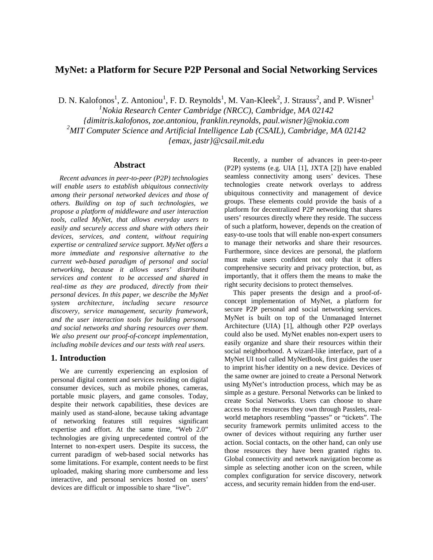# **MyNet: a Platform for Secure P2P Personal and Social Networking Services**

D. N. Kalofonos<sup>1</sup>, Z. Antoniou<sup>1</sup>, F. D. Reynolds<sup>1</sup>, M. Van-Kleek<sup>2</sup>, J. Strauss<sup>2</sup>, and P. Wisner<sup>1</sup>

*1 Nokia Research Center Cambridge (NRCC), Cambridge, MA 02142 {dimitris.kalofonos, zoe.antoniou, franklin.reynolds, paul.wisner}@nokia.com 2 MIT Computer Science and Artificial Intelligence Lab (CSAIL), Cambridge, MA 02142 {emax, jastr}@csail.mit.edu* 

### **Abstract**

*Recent advances in peer-to-peer (P2P) technologies will enable users to establish ubiquitous connectivity among their personal networked devices and those of others. Building on top of such technologies, we propose a platform of middleware and user interaction tools, called MyNet, that allows everyday users to easily and securely access and share with others their devices, services, and content, without requiring expertise or centralized service support. MyNet offers a more immediate and responsive alternative to the current web-based paradigm of personal and social networking, because it allows users' distributed services and content to be accessed and shared in real-time as they are produced, directly from their personal devices. In this paper, we describe the MyNet system architecture, including secure resource discovery, service management, security framework, and the user interaction tools for building personal and social networks and sharing resources over them. We also present our proof-of-concept implementation, including mobile devices and our tests with real users.* 

## **1. Introduction**

We are currently experiencing an explosion of personal digital content and services residing on digital consumer devices, such as mobile phones, cameras, portable music players, and game consoles. Today, despite their network capabilities, these devices are mainly used as stand-alone, because taking advantage of networking features still requires significant expertise and effort. At the same time, "Web 2.0" technologies are giving unprecedented control of the Internet to non-expert users. Despite its success, the current paradigm of web-based social networks has some limitations. For example, content needs to be first uploaded, making sharing more cumbersome and less interactive, and personal services hosted on users' devices are difficult or impossible to share "live".

Recently, a number of advances in peer-to-peer (P2P) systems (e.g. UIA [1], JXTA [2]) have enabled seamless connectivity among users' devices. These technologies create network overlays to address ubiquitous connectivity and management of device groups. These elements could provide the basis of a platform for decentralized P2P networking that shares users' resources directly where they reside. The success of such a platform, however, depends on the creation of easy-to-use tools that will enable non-expert consumers to manage their networks and share their resources. Furthermore, since devices are personal, the platform must make users confident not only that it offers comprehensive security and privacy protection, but, as importantly, that it offers them the means to make the right security decisions to protect themselves.

This paper presents the design and a proof-ofconcept implementation of MyNet, a platform for secure P2P personal and social networking services. MyNet is built on top of the Unmanaged Internet Architecture (UIA) [1], although other P2P overlays could also be used. MyNet enables non-expert users to easily organize and share their resources within their social neighborhood. A wizard-like interface, part of a MyNet UI tool called MyNetBook, first guides the user to imprint his/her identity on a new device. Devices of the same owner are joined to create a Personal Network using MyNet's introduction process, which may be as simple as a gesture. Personal Networks can be linked to create Social Networks. Users can choose to share access to the resources they own through Passlets, realworld metaphors resembling "passes" or "tickets". The security framework permits unlimited access to the owner of devices without requiring any further user action. Social contacts, on the other hand, can only use those resources they have been granted rights to. Global connectivity and network navigation become as simple as selecting another icon on the screen, while complex configuration for service discovery, network access, and security remain hidden from the end-user.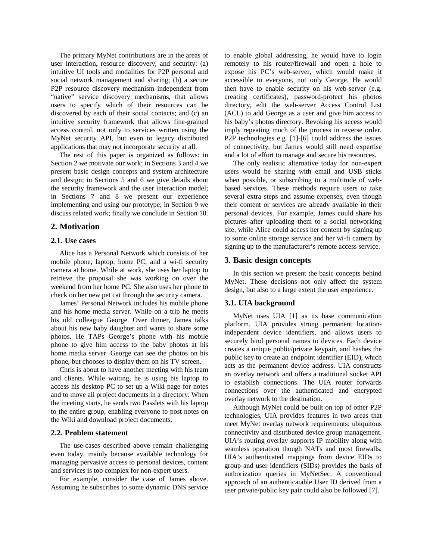The primary MyNet contributions are in the areas of user interaction, resource discovery, and security: (a) intuitive UI tools and modalities for P2P personal and social network management and sharing; (b) a secure P2P resource discovery mechanism independent from "native" service discovery mechanisms, that allows users to specify which of their resources can be discovered by each of their social contacts; and (c) an intuitive security framework that allows fine-grained access control, not only to services written using the MyNet security API, but even to legacy distributed applications that may not incorporate security at all.

The rest of this paper is organized as follows: in Section 2 we motivate our work; in Sections 3 and 4 we present basic design concepts and system architecture and design; in Sections 5 and 6 we give details about the security framework and the user interaction model; in Sections 7 and 8 we present our experience implementing and using our prototype; in Section 9 we discuss related work; finally we conclude in Section 10.

## **2. Motivation**

# **2.1. Use cases**

Alice has a Personal Network which consists of her mobile phone, laptop, home PC, and a wi-fi security camera at home. While at work, she uses her laptop to retrieve the proposal she was working on over the weekend from her home PC. She also uses her phone to check on her new pet cat through the security camera.

James' Personal Network includes his mobile phone and his home media server. While on a trip he meets his old colleague George. Over dinner, James talks about his new baby daughter and wants to share some photos. He TAPs George's phone with his mobile phone to give him access to the baby photos at his home media server. George can see the photos on his phone, but chooses to display them on his TV screen.

Chris is about to have another meeting with his team and clients. While waiting, he is using his laptop to access his desktop PC to set up a Wiki page for notes and to move all project documents in a directory. When the meeting starts, he sends two Passlets with his laptop to the entire group, enabling everyone to post notes on the Wiki and download project documents.

#### **2.2. Problem statement**

The use-cases described above remain challenging even today, mainly because available technology for managing pervasive access to personal devices, content and services is too complex for non-expert users.

For example, consider the case of James above. Assuming he subscribes to some dynamic DNS service

to enable global addressing, he would have to login remotely to his router/firewall and open a hole to expose his PC's web-server, which would make it accessible to everyone, not only George. He would then have to enable security on his web-server (e.g. creating certificates), password-protect his photos directory, edit the web-server Access Control List (ACL) to add George as a user and give him access to his baby's photos directory. Revoking his access would imply repeating much of the process in reverse order. P2P technologies e.g. [1]-[6] could address the issues of connectivity, but James would still need expertise and a lot of effort to manage and secure his resources.

The only realistic alternative today for non-expert users would be sharing with email and USB sticks when possible, or subscribing to a multitude of webbased services. These methods require users to take several extra steps and assume expenses, even though their content or services are already available in their personal devices. For example, James could share his pictures after uploading them to a social networking site, while Alice could access her content by signing up to some online storage service and her wi-fi camera by signing up to the manufacturer's remote access service.

# **3. Basic design concepts**

In this section we present the basic concepts behind MyNet. These decisions not only affect the system design, but also to a large extent the user experience.

## **3.1. UIA background**

MyNet uses UIA [1] as its base communication platform. UIA provides strong permanent locationindependent device identifiers, and allows users to securely bind personal names to devices. Each device creates a unique public/private keypair, and hashes the public key to create an endpoint identifier (EID), which acts as the permanent device address. UIA constructs an overlay network and offers a traditional socket API to establish connections. The UIA router forwards connections over the authenticated and encrypted overlay network to the destination.

Although MyNet could be built on top of other P2P technologies, UIA provides features in two areas that meet MyNet overlay network requirements: ubiquitous connectivity and distributed device group management. UIA's routing overlay supports IP mobility along with seamless operation though NATs and most firewalls. UIA's authenticated mappings from device EIDs to group and user identifiers (SIDs) provides the basis of authorization queries in MyNetSec. A conventional approach of an authenticatable User ID derived from a user private/public key pair could also be followed [7].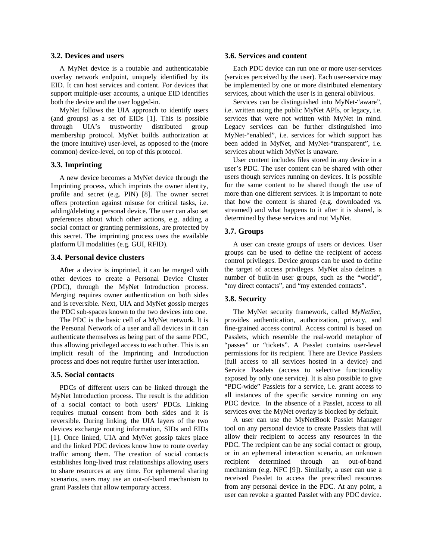#### **3.2. Devices and users**

A MyNet device is a routable and authenticatable overlay network endpoint, uniquely identified by its EID. It can host services and content. For devices that support multiple-user accounts, a unique EID identifies both the device and the user logged-in.

MyNet follows the UIA approach to identify users (and groups) as a set of EIDs [1]. This is possible through UIA's trustworthy distributed group membership protocol. MyNet builds authorization at the (more intuitive) user-level, as opposed to the (more common) device-level, on top of this protocol.

### **3.3. Imprinting**

A new device becomes a MyNet device through the Imprinting process, which imprints the owner identity, profile and secret (e.g. PIN) [8]. The owner secret offers protection against misuse for critical tasks, i.e. adding/deleting a personal device. The user can also set preferences about which other actions, e.g. adding a social contact or granting permissions, are protected by this secret. The imprinting process uses the available platform UI modalities (e.g. GUI, RFID).

#### **3.4. Personal device clusters**

After a device is imprinted, it can be merged with other devices to create a Personal Device Cluster (PDC), through the MyNet Introduction process. Merging requires owner authentication on both sides and is reversible. Next, UIA and MyNet gossip merges the PDC sub-spaces known to the two devices into one.

The PDC is the basic cell of a MyNet network. It is the Personal Network of a user and all devices in it can authenticate themselves as being part of the same PDC, thus allowing privileged access to each other. This is an implicit result of the Imprinting and Introduction process and does not require further user interaction.

#### **3.5. Social contacts**

PDCs of different users can be linked through the MyNet Introduction process. The result is the addition of a social contact to both users' PDCs. Linking requires mutual consent from both sides and it is reversible. During linking, the UIA layers of the two devices exchange routing information, SIDs and EIDs [1]. Once linked, UIA and MyNet gossip takes place and the linked PDC devices know how to route overlay traffic among them. The creation of social contacts establishes long-lived trust relationships allowing users to share resources at any time. For ephemeral sharing scenarios, users may use an out-of-band mechanism to grant Passlets that allow temporary access.

#### **3.6. Services and content**

Each PDC device can run one or more user-services (services perceived by the user). Each user-service may be implemented by one or more distributed elementary services, about which the user is in general oblivious.

Services can be distinguished into MyNet-"aware", i.e. written using the public MyNet APIs, or legacy, i.e. services that were not written with MyNet in mind. Legacy services can be further distinguished into MyNet-"enabled", i.e. services for which support has been added in MyNet, and MyNet-"transparent", i.e. services about which MyNet is unaware.

User content includes files stored in any device in a user's PDC. The user content can be shared with other users though services running on devices. It is possible for the same content to be shared though the use of more than one different services. It is important to note that how the content is shared (e.g. downloaded vs. streamed) and what happens to it after it is shared, is determined by these services and not MyNet.

#### **3.7. Groups**

A user can create groups of users or devices. User groups can be used to define the recipient of access control privileges. Device groups can be used to define the target of access privileges. MyNet also defines a number of built-in user groups, such as the "world", "my direct contacts", and "my extended contacts".

## **3.8. Security**

The MyNet security framework, called *MyNetSec*, provides authentication, authorization, privacy, and fine-grained access control. Access control is based on Passlets, which resemble the real-world metaphor of "passes" or "tickets". A Passlet contains user-level permissions for its recipient. There are Device Passlets (full access to all services hosted in a device) and Service Passlets (access to selective functionality exposed by only one service). It is also possible to give "PDC-wide" Passlets for a service, i.e. grant access to all instances of the specific service running on any PDC device. In the absence of a Passlet, access to all services over the MyNet overlay is blocked by default.

A user can use the MyNetBook Passlet Manager tool on any personal device to create Passlets that will allow their recipient to access any resources in the PDC. The recipient can be any social contact or group, or in an ephemeral interaction scenario, an unknown recipient determined through an out-of-band mechanism (e.g. NFC [9]). Similarly, a user can use a received Passlet to access the prescribed resources from any personal device in the PDC. At any point, a user can revoke a granted Passlet with any PDC device.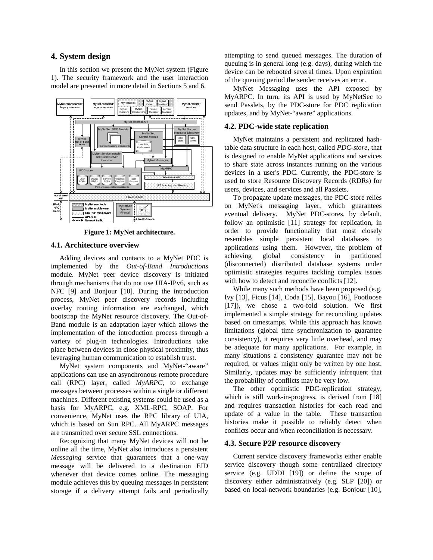# **4. System design**

In this section we present the MyNet system (Figure 1). The security framework and the user interaction model are presented in more detail in Sections 5 and 6.



**Figure 1: MyNet architecture.** 

## **4.1. Architecture overview**

Adding devices and contacts to a MyNet PDC is implemented by the *Out-of-Band Introductions* module. MyNet peer device discovery is initiated through mechanisms that do not use UIA-IPv6, such as NFC [9] and Bonjour [10]. During the introduction process, MyNet peer discovery records including overlay routing information are exchanged, which bootstrap the MyNet resource discovery. The Out-of-Band module is an adaptation layer which allows the implementation of the introduction process through a variety of plug-in technologies. Introductions take place between devices in close physical proximity, thus leveraging human communication to establish trust.

MyNet system components and MyNet-"aware" applications can use an asynchronous remote procedure call (RPC) layer, called *MyARPC,* to exchange messages between processes within a single or different machines. Different existing systems could be used as a basis for MyARPC, e.g. XML-RPC, SOAP. For convenience, MyNet uses the RPC library of UIA, which is based on Sun RPC. All MyARPC messages are transmitted over secure SSL connections.

Recognizing that many MyNet devices will not be online all the time, MyNet also introduces a persistent *Messaging* service that guarantees that a one-way message will be delivered to a destination EID whenever that device comes online. The messaging module achieves this by queuing messages in persistent storage if a delivery attempt fails and periodically

attempting to send queued messages. The duration of queuing is in general long (e.g. days), during which the device can be rebooted several times. Upon expiration of the queuing period the sender receives an error.

MyNet Messaging uses the API exposed by MyARPC. In turn, its API is used by MyNetSec to send Passlets, by the PDC-store for PDC replication updates, and by MyNet-"aware" applications.

## **4.2. PDC-wide state replication**

MyNet maintains a persistent and replicated hashtable data structure in each host, called *PDC-store*, that is designed to enable MyNet applications and services to share state across instances running on the various devices in a user's PDC. Currently, the PDC-store is used to store Resource Discovery Records (RDRs) for users, devices, and services and all Passlets.

To propagate update messages, the PDC-store relies on MyNet's messaging layer, which guarantees eventual delivery. MyNet PDC-stores, by default, follow an optimistic [11] strategy for replication, in order to provide functionality that most closely resembles simple persistent local databases to applications using them. However, the problem of achieving global consistency in partitioned (disconnected) distributed database systems under optimistic strategies requires tackling complex issues with how to detect and reconcile conflicts [12].

While many such methods have been proposed (e.g. Ivy [13], Ficus [14], Coda [15], Bayou [16], Footloose [17]), we chose a two-fold solution. We first implemented a simple strategy for reconciling updates based on timestamps. While this approach has known limitations (global time synchronization to guarantee consistency), it requires very little overhead, and may be adequate for many applications. For example, in many situations a consistency guarantee may not be required, or values might only be written by one host. Similarly, updates may be sufficiently infrequent that the probability of conflicts may be very low.

The other optimistic PDC-replication strategy, which is still work-in-progress, is derived from [18] and requires transaction histories for each read and update of a value in the table. These transaction histories make it possible to reliably detect when conflicts occur and when reconciliation is necessary.

# **4.3. Secure P2P resource discovery**

Current service discovery frameworks either enable service discovery though some centralized directory service (e.g. UDDI [19]) or define the scope of discovery either administratively (e.g. SLP [20]) or based on local-network boundaries (e.g. Bonjour [10],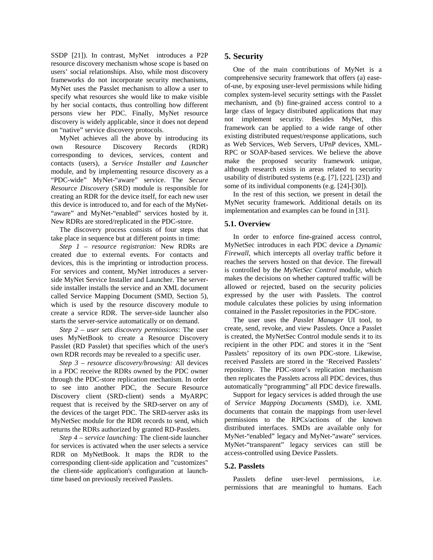SSDP [21]). In contrast, MyNet introduces a P2P resource discovery mechanism whose scope is based on users' social relationships. Also, while most discovery frameworks do not incorporate security mechanisms, MyNet uses the Passlet mechanism to allow a user to specify what resources she would like to make visible by her social contacts, thus controlling how different persons view her PDC. Finally, MyNet resource discovery is widely applicable, since it does not depend on "native" service discovery protocols.

MyNet achieves all the above by introducing its own Resource Discovery Records (RDR) corresponding to devices, services, content and contacts (users), a *Service Installer and Launcher* module, and by implementing resource discovery as a "PDC-wide" MyNet-"aware" service. The *Secure Resource Discovery* (SRD) module is responsible for creating an RDR for the device itself, for each new user this device is introduced to, and for each of the MyNet- "aware" and MyNet-"enabled" services hosted by it. New RDRs are stored/replicated in the PDC-store.

The discovery process consists of four steps that take place in sequence but at different points in time:

*Step 1 – resource registration:* New RDRs are created due to external events. For contacts and devices, this is the imprinting or introduction process. For services and content, MyNet introduces a serverside MyNet Service Installer and Launcher. The serverside installer installs the service and an XML document called Service Mapping Document (SMD, Section 5), which is used by the resource discovery module to create a service RDR. The server-side launcher also starts the server-service automatically or on demand.

*Step 2 – user sets discovery permissions*: The user uses MyNetBook to create a Resource Discovery Passlet (RD Passlet) that specifies which of the user's own RDR records may be revealed to a specific user.

*Step 3 – resource discovery/browsing:* All devices in a PDC receive the RDRs owned by the PDC owner through the PDC-store replication mechanism. In order to see into another PDC, the Secure Resource Discovery client (SRD-client) sends a MyARPC request that is received by the SRD-server on any of the devices of the target PDC. The SRD-server asks its MyNetSec module for the RDR records to send, which returns the RDRs authorized by granted RD-Passlets.

*Step 4 – service launching:* The client-side launcher for services is activated when the user selects a service RDR on MyNetBook. It maps the RDR to the corresponding client-side application and "customizes" the client-side application's configuration at launchtime based on previously received Passlets.

# **5. Security**

One of the main contributions of MyNet is a comprehensive security framework that offers (a) easeof-use, by exposing user-level permissions while hiding complex system-level security settings with the Passlet mechanism, and (b) fine-grained access control to a large class of legacy distributed applications that may not implement security. Besides MyNet, this framework can be applied to a wide range of other existing distributed request/response applications, such as Web Services, Web Servers, UPnP devices, XML-RPC or SOAP-based services. We believe the above make the proposed security framework unique, although research exists in areas related to security usability of distributed systems (e.g. [7], [22], [23]) and some of its individual components (e.g. [24]-[30]).

In the rest of this section, we present in detail the MyNet security framework. Additional details on its implementation and examples can be found in [31].

## **5.1. Overview**

In order to enforce fine-grained access control, MyNetSec introduces in each PDC device a *Dynamic Firewall*, which intercepts all overlay traffic before it reaches the servers hosted on that device. The firewall is controlled by the *MyNetSec Control* module, which makes the decisions on whether captured traffic will be allowed or rejected, based on the security policies expressed by the user with Passlets. The control module calculates these policies by using information contained in the Passlet repositories in the PDC-store.

The user uses the *Passlet Manager* UI tool, to create, send, revoke, and view Passlets. Once a Passlet is created, the MyNetSec Control module sends it to its recipient in the other PDC and stores it in the 'Sent Passlets' repository of its own PDC-store. Likewise, received Passlets are stored in the 'Received Passlets' repository. The PDC-store's replication mechanism then replicates the Passlets across all PDC devices, thus automatically "programming" all PDC device firewalls.

Support for legacy services is added through the use of *Service Mapping Documents* (SMD), i.e. XML documents that contain the mappings from user-level permissions to the RPCs/actions of the known distributed interfaces. SMDs are available only for MyNet-"enabled" legacy and MyNet-"aware" services. MyNet-"transparent" legacy services can still be access-controlled using Device Passlets.

## **5.2. Passlets**

Passlets define user-level permissions, i.e. permissions that are meaningful to humans. Each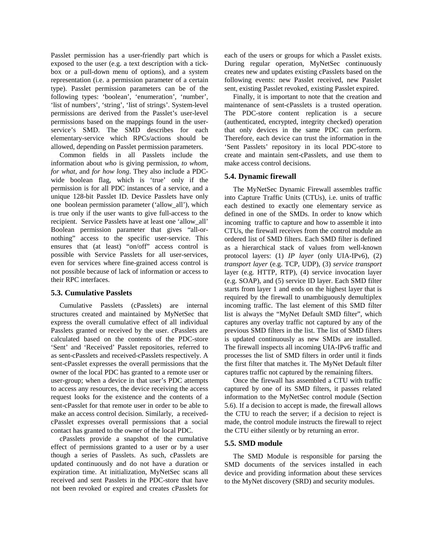Passlet permission has a user-friendly part which is exposed to the user (e.g. a text description with a tickbox or a pull-down menu of options), and a system representation (i.e. a permission parameter of a certain type). Passlet permission parameters can be of the following types: 'boolean', 'enumeration', 'number', 'list of numbers', 'string', 'list of strings'. System-level permissions are derived from the Passlet's user-level permissions based on the mappings found in the userservice's SMD. The SMD describes for each elementary-service which RPCs/actions should be allowed, depending on Passlet permission parameters.

Common fields in all Passlets include the information about *who* is giving permission, *to whom*, *for what*, and *for how long*. They also include a PDCwide boolean flag, which is 'true' only if the permission is for all PDC instances of a service, and a unique 128-bit Passlet ID. Device Passlets have only one boolean permission parameter ('allow\_all'), which is true only if the user wants to give full-access to the recipient. Service Passlets have at least one 'allow\_all' Boolean permission parameter that gives "all-ornothing" access to the specific user-service. This ensures that (at least) "on/off" access control is possible with Service Passlets for all user-services, even for services where fine-grained access control is not possible because of lack of information or access to their RPC interfaces.

## **5.3. Cumulative Passlets**

Cumulative Passlets (cPasslets) are internal structures created and maintained by MyNetSec that express the overall cumulative effect of all individual Passlets granted or received by the user. cPasslets are calculated based on the contents of the PDC-store 'Sent' and 'Received' Passlet repositories, referred to as sent-cPasslets and received-cPasslets respectively. A sent-cPasslet expresses the overall permissions that the owner of the local PDC has granted to a remote user or user-group; when a device in that user's PDC attempts to access any resources, the device receiving the access request looks for the existence and the contents of a sent-cPasslet for that remote user in order to be able to make an access control decision. Similarly, a receivedcPasslet expresses overall permissions that a social contact has granted to the owner of the local PDC.

cPasslets provide a snapshot of the cumulative effect of permissions granted to a user or by a user though a series of Passlets. As such, cPasslets are updated continuously and do not have a duration or expiration time. At initialization, MyNetSec scans all received and sent Passlets in the PDC-store that have not been revoked or expired and creates cPasslets for each of the users or groups for which a Passlet exists. During regular operation, MyNetSec continuously creates new and updates existing cPasslets based on the following events: new Passlet received, new Passlet sent, existing Passlet revoked, existing Passlet expired.

Finally, it is important to note that the creation and maintenance of sent-cPasslets is a trusted operation. The PDC-store content replication is a secure (authenticated, encrypted, integrity checked) operation that only devices in the same PDC can perform. Therefore, each device can trust the information in the 'Sent Passlets' repository in its local PDC-store to create and maintain sent-cPasslets, and use them to make access control decisions.

# **5.4. Dynamic firewall**

The MyNetSec Dynamic Firewall assembles traffic into Capture Traffic Units (CTUs), i.e. units of traffic each destined to exactly one elementary service as defined in one of the SMDs. In order to know which incoming traffic to capture and how to assemble it into CTUs, the firewall receives from the control module an ordered list of SMD filters. Each SMD filter is defined as a hierarchical stack of values from well-known protocol layers: (1) *IP layer* (only UIA-IPv6), (2) *transport layer* (e.g. TCP, UDP), (3) *service transport* layer (e.g. HTTP, RTP), (4) service invocation layer (e.g. SOAP), and (5) service ID layer. Each SMD filter starts from layer 1 and ends on the highest layer that is required by the firewall to unambiguously demultiplex incoming traffic. The last element of this SMD filter list is always the "MyNet Default SMD filter", which captures any overlay traffic not captured by any of the previous SMD filters in the list. The list of SMD filters is updated continuously as new SMDs are installed. The firewall inspects all incoming UIA-IPv6 traffic and processes the list of SMD filters in order until it finds the first filter that matches it. The MyNet Default filter captures traffic not captured by the remaining filters.

Once the firewall has assembled a CTU with traffic captured by one of its SMD filters, it passes related information to the MyNetSec control module (Section 5.6). If a decision to accept is made, the firewall allows the CTU to reach the server; if a decision to reject is made, the control module instructs the firewall to reject the CTU either silently or by returning an error.

## **5.5. SMD module**

The SMD Module is responsible for parsing the SMD documents of the services installed in each device and providing information about these services to the MyNet discovery (SRD) and security modules.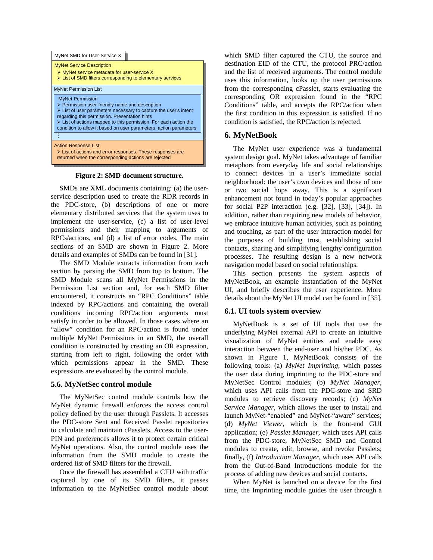

**Figure 2: SMD document structure.** 

SMDs are XML documents containing: (a) the userservice description used to create the RDR records in the PDC-store, (b) descriptions of one or more elementary distributed services that the system uses to implement the user-service, (c) a list of user-level permissions and their mapping to arguments of RPCs/actions, and (d) a list of error codes. The main sections of an SMD are shown in Figure 2. More details and examples of SMDs can be found in [31].

The SMD Module extracts information from each section by parsing the SMD from top to bottom. The SMD Module scans all MyNet Permissions in the Permission List section and, for each SMD filter encountered, it constructs an "RPC Conditions" table indexed by RPC/actions and containing the overall conditions incoming RPC/action arguments must satisfy in order to be allowed. In those cases where an "allow" condition for an RPC/action is found under multiple MyNet Permissions in an SMD, the overall condition is constructed by creating an OR expression, starting from left to right, following the order with which permissions appear in the SMD. These expressions are evaluated by the control module.

# **5.6. MyNetSec control module**

The MyNetSec control module controls how the MyNet dynamic firewall enforces the access control policy defined by the user through Passlets. It accesses the PDC-store Sent and Received Passlet repositories to calculate and maintain cPasslets. Access to the user-PIN and preferences allows it to protect certain critical MyNet operations. Also, the control module uses the information from the SMD module to create the ordered list of SMD filters for the firewall.

Once the firewall has assembled a CTU with traffic captured by one of its SMD filters, it passes information to the MyNetSec control module about

which SMD filter captured the CTU, the source and destination EID of the CTU, the protocol PRC/action and the list of received arguments. The control module uses this information, looks up the user permissions from the corresponding cPasslet, starts evaluating the corresponding OR expression found in the "RPC Conditions" table, and accepts the RPC/action when the first condition in this expression is satisfied. If no condition is satisfied, the RPC/action is rejected.

# **6. MyNetBook**

The MyNet user experience was a fundamental system design goal. MyNet takes advantage of familiar metaphors from everyday life and social relationships to connect devices in a user's immediate social neighborhood: the user's own devices and those of one or two social hops away. This is a significant enhancement not found in today's popular approaches for social P2P interaction (e.g. [32], [33], [34]). In addition, rather than requiring new models of behavior, we embrace intuitive human activities, such as pointing and touching, as part of the user interaction model for the purposes of building trust, establishing social contacts, sharing and simplifying lengthy configuration processes. The resulting design is a new network navigation model based on social relationships.

This section presents the system aspects of MyNetBook, an example instantiation of the MyNet UI, and briefly describes the user experience. More details about the MyNet UI model can be found in [35].

# **6.1. UI tools system overview**

MyNetBook is a set of UI tools that use the underlying MyNet external API to create an intuitive visualization of MyNet entities and enable easy interaction between the end-user and his/her PDC. As shown in Figure 1, MyNetBook consists of the following tools: (a) *MyNet Imprinting*, which passes the user data during imprinting to the PDC-store and MyNetSec Control modules; (b) *MyNet Manager,* which uses API calls from the PDC-store and SRD modules to retrieve discovery records; (c) *MyNet Service Manager*, which allows the user to install and launch MyNet-"enabled" and MyNet-"aware" services; (d) *MyNet Viewer*, which is the front-end GUI application; (e) *Passlet Manager,* which uses API calls from the PDC-store, MyNetSec SMD and Control modules to create, edit, browse, and revoke Passlets; finally, (f) *Introduction Manager*, which uses API calls from the Out-of-Band Introductions module for the process of adding new devices and social contacts.

When MyNet is launched on a device for the first time, the Imprinting module guides the user through a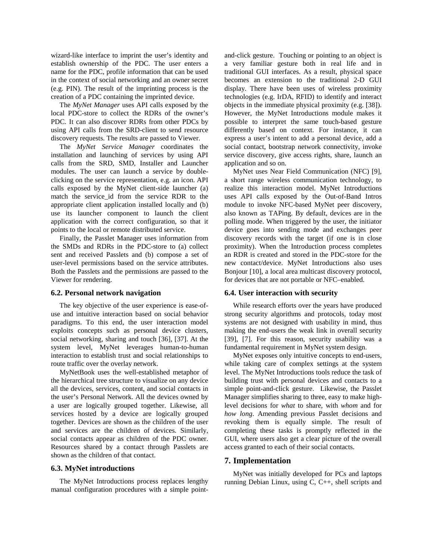wizard-like interface to imprint the user's identity and establish ownership of the PDC. The user enters a name for the PDC, profile information that can be used in the context of social networking and an owner secret (e.g. PIN). The result of the imprinting process is the creation of a PDC containing the imprinted device.

The *MyNet Manager* uses API calls exposed by the local PDC-store to collect the RDRs of the owner's PDC. It can also discover RDRs from other PDCs by using API calls from the SRD-client to send resource discovery requests. The results are passed to Viewer.

The *MyNet Service Manager* coordinates the installation and launching of services by using API calls from the SRD, SMD, Installer and Launcher modules. The user can launch a service by doubleclicking on the service representation, e.g. an icon. API calls exposed by the MyNet client-side launcher (a) match the service id from the service RDR to the appropriate client application installed locally and (b) use its launcher component to launch the client application with the correct configuration, so that it points to the local or remote distributed service.

Finally, the Passlet Manager uses information from the SMDs and RDRs in the PDC-store to (a) collect sent and received Passlets and (b) compose a set of user-level permissions based on the service attributes. Both the Passlets and the permissions are passed to the Viewer for rendering.

#### **6.2. Personal network navigation**

The key objective of the user experience is ease-ofuse and intuitive interaction based on social behavior paradigms. To this end, the user interaction model exploits concepts such as personal device clusters, social networking, sharing and touch [36], [37]. At the system level, MyNet leverages human-to-human interaction to establish trust and social relationships to route traffic over the overlay network.

MyNetBook uses the well-established metaphor of the hierarchical tree structure to visualize on any device all the devices, services, content, and social contacts in the user's Personal Network. All the devices owned by a user are logically grouped together. Likewise, all services hosted by a device are logically grouped together. Devices are shown as the children of the user and services are the children of devices. Similarly, social contacts appear as children of the PDC owner. Resources shared by a contact through Passlets are shown as the children of that contact.

#### **6.3. MyNet introductions**

The MyNet Introductions process replaces lengthy manual configuration procedures with a simple pointand-click gesture. Touching or pointing to an object is a very familiar gesture both in real life and in traditional GUI interfaces. As a result, physical space becomes an extension to the traditional 2-D GUI display. There have been uses of wireless proximity technologies (e.g. IrDA, RFID) to identify and interact objects in the immediate physical proximity (e.g. [38]). However, the MyNet Introductions module makes it possible to interpret the same touch-based gesture differently based on context. For instance, it can express a user's intent to add a personal device, add a social contact, bootstrap network connectivity, invoke service discovery, give access rights, share, launch an application and so on.

MyNet uses Near Field Communication (NFC) [9], a short range wireless communication technology, to realize this interaction model. MyNet Introductions uses API calls exposed by the Out-of-Band Intros module to invoke NFC-based MyNet peer discovery, also known as TAPing. By default, devices are in the polling mode. When triggered by the user, the initiator device goes into sending mode and exchanges peer discovery records with the target (if one is in close proximity). When the Introduction process completes an RDR is created and stored in the PDC-store for the new contact/device. MyNet Introductions also uses Bonjour [10], a local area multicast discovery protocol, for devices that are not portable or NFC–enabled.

#### **6.4. User interaction with security**

While research efforts over the years have produced strong security algorithms and protocols, today most systems are not designed with usability in mind, thus making the end-users the weak link in overall security [39], [7]. For this reason, security usability was a fundamental requirement in MyNet system design.

MyNet exposes only intuitive concepts to end-users, while taking care of complex settings at the system level. The MyNet Introductions tools reduce the task of building trust with personal devices and contacts to a simple point-and-click gesture. Likewise, the Passlet Manager simplifies sharing to three, easy to make highlevel decisions for *what* to share, with *whom* and for *how long*. Amending previous Passlet decisions and revoking them is equally simple. The result of completing these tasks is promptly reflected in the GUI, where users also get a clear picture of the overall access granted to each of their social contacts.

#### **7. Implementation**

MyNet was initially developed for PCs and laptops running Debian Linux, using C, C++, shell scripts and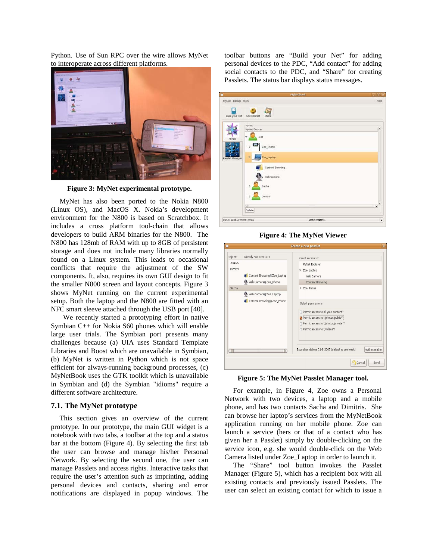Python. Use of Sun RPC over the wire allows MyNet to interoperate across different platforms.



**Figure 3: MyNet experimental prototype.** 

MyNet has also been ported to the Nokia N800 (Linux OS), and MacOS X. Nokia's development environment for the N800 is based on Scratchbox. It includes a cross platform tool-chain that allows developers to build ARM binaries for the N800. The N800 has 128mb of RAM with up to 8GB of persistent storage and does not include many libraries normally found on a Linux system. This leads to occasional conflicts that require the adjustment of the SW components. It, also, requires its own GUI design to fit the smaller N800 screen and layout concepts. Figure 3 shows MyNet running on the current experimental setup. Both the laptop and the N800 are fitted with an NFC smart sleeve attached through the USB port [40].

 We recently started a prototyping effort in native Symbian C++ for Nokia S60 phones which will enable large user trials. The Symbian port presents many challenges because (a) UIA uses Standard Template Libraries and Boost which are unavailable in Symbian, (b) MyNet is written in Python which is not space efficient for always-running background processes, (c) MyNetBook uses the GTK toolkit which is unavailable in Symbian and (d) the Symbian "idioms" require a different software architecture.

## **7.1. The MyNet prototype**

This section gives an overview of the current prototype. In our prototype, the main GUI widget is a notebook with two tabs, a toolbar at the top and a status bar at the bottom (Figure 4). By selecting the first tab the user can browse and manage his/her Personal Network. By selecting the second one, the user can manage Passlets and access rights. Interactive tasks that require the user's attention such as imprinting, adding personal devices and contacts, sharing and error notifications are displayed in popup windows. The

toolbar buttons are "Build your Net" for adding personal devices to the PDC, "Add contact" for adding social contacts to the PDC, and "Share" for creating Passlets. The status bar displays status messages.

| MyNet Debug Tools               | MyNetBack                         | $-1010$<br><b>Help</b>   |
|---------------------------------|-----------------------------------|--------------------------|
|                                 |                                   |                          |
|                                 | <b>A</b><br>$\bullet$             |                          |
| Build your Net                  | Add Contact<br>Share              |                          |
|                                 |                                   |                          |
|                                 | MyNet                             | $\overline{\phantom{a}}$ |
|                                 | MyNet Devices                     |                          |
| MyNet                           | $Z$ oe<br>v                       |                          |
|                                 |                                   |                          |
|                                 | þ<br>Zoe_Phone                    |                          |
|                                 |                                   |                          |
| Passlet Manager                 | Zoa_Laptop<br>$\ddot{\mathbf{v}}$ |                          |
|                                 |                                   |                          |
|                                 | Content Browsing                  |                          |
|                                 |                                   |                          |
|                                 | Web Carnera                       |                          |
|                                 | Sacha<br>Þ                        |                          |
|                                 |                                   |                          |
|                                 | Dimitris<br>Þ                     |                          |
|                                 |                                   |                          |
|                                 | ₫                                 | ٠                        |
|                                 | Delete                            |                          |
|                                 |                                   |                          |
| (Jun 27 10:58:19 mynet_introal) | Link complete.                    |                          |

**Figure 4: The MyNet Viewer** 

| acipient                                            | Already has access to                               | Grant access to:                                                                                                                                                      |  |  |  |
|-----------------------------------------------------|-----------------------------------------------------|-----------------------------------------------------------------------------------------------------------------------------------------------------------------------|--|--|--|
| $<$ new $>$<br>Dimitris                             | Content Browsing@Zoe_Laptop<br>Web Camera@Zoe_Phone | MyNet Explorer<br>▽ Zoe Laptop<br>Web Camera<br>Content Browsing                                                                                                      |  |  |  |
| Sacha                                               |                                                     | > Zoe Phone                                                                                                                                                           |  |  |  |
| Web Camera@Zoe_Laptop<br>Content Browsing@Zoe_Phone |                                                     | Select permissions:<br>Permit access to all your content?<br>Permit access to "/photos/public"?<br>Permit access to "/photos/private"?<br>Permit access to "/videos"? |  |  |  |
| $\vert \cdot \vert$                                 | R                                                   | edit expiration<br>Expiration date is 11-9-2007 (default is one week)                                                                                                 |  |  |  |

**Figure 5: The MyNet Passlet Manager tool.** 

For example, in Figure 4, Zoe owns a Personal Network with two devices, a laptop and a mobile phone, and has two contacts Sacha and Dimitris. She can browse her laptop's services from the MyNetBook application running on her mobile phone. Zoe can launch a service (hers or that of a contact who has given her a Passlet) simply by double-clicking on the service icon, e.g. she would double-click on the Web Camera listed under Zoe\_Laptop in order to launch it.

The "Share" tool button invokes the Passlet Manager (Figure 5), which has a recipient box with all existing contacts and previously issued Passlets. The user can select an existing contact for which to issue a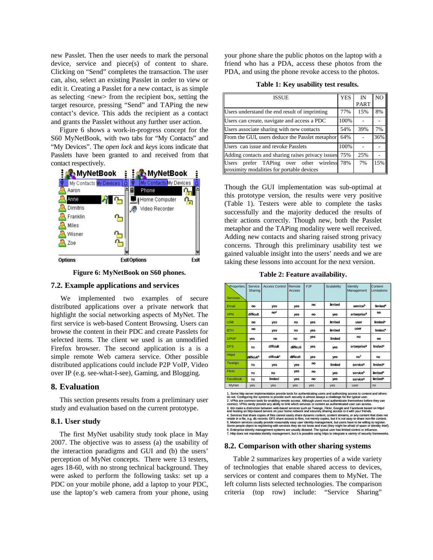new Passlet. Then the user needs to mark the personal device, service and piece(s) of content to share. Clicking on "Send" completes the transaction. The user can, also, select an existing Passlet in order to view or edit it. Creating a Passlet for a new contact, is as simple as selecting <new> from the recipient box, setting the target resource, pressing "Send" and TAPing the new contact's device. This adds the recipient as a contact and grants the Passlet without any further user action.

Figure 6 shows a work-in-progress concept for the S60 MyNetBook, with two tabs for "My Contacts" and "My Devices". The *open lock* and *keys* icons indicate that Passlets have been granted to and received from that contact respectively.



**Figure 6: MyNetBook on S60 phones.** 

#### **7.2. Example applications and services**

We implemented two examples of secure distributed applications over a private network that highlight the social networking aspects of MyNet. The first service is web-based Content Browsing. Users can browse the content in their PDC and create Passlets for selected items. The client we used is an unmodified Firefox browser. The second application is a is a simple remote Web camera service. Other possible distributed applications could include P2P VoIP, Video over IP (e.g. see-what-I-see), Gaming, and Blogging.

## **8. Evaluation**

This section presents results from a preliminary user study and evaluation based on the current prototype.

## **8.1. User study**

The first MyNet usability study took place in May 2007. The objective was to assess (a) the usability of the interaction paradigms and GUI and (b) the users' perception of MyNet concepts. There were 13 testers, ages 18-60, with no strong technical background. They were asked to perform the following tasks: set up a PDC on your mobile phone, add a laptop to your PDC, use the laptop's web camera from your phone, using

your phone share the public photos on the laptop with a friend who has a PDA, access these photos from the PDA, and using the phone revoke access to the photos.

**Table 1: Key usability test results.** 

| <b>ISSUE</b>                                          | <b>YES</b> | IN          | NO. |
|-------------------------------------------------------|------------|-------------|-----|
|                                                       |            | <b>PART</b> |     |
| Users understand the end result of imprinting         | 77%        | 15%         | 8%  |
| Users can create, navigate and access a PDC           | 100%       |             |     |
| Users associate sharing with new contacts             | 54%        | 39%         | 7%  |
| From the GUI, users deduce the Passlet metaphor       | 64%        |             | 36% |
| Users can issue and revoke Passlets                   | 100%       |             |     |
| Adding contacts and sharing raises privacy issues 75% |            | 25%         |     |
| Users<br>prefer TAPing over other wireless 78%        |            | 7%          | 15% |
| proximity modalities for portable devices             |            |             |     |

Though the GUI implementation was sub-optimal at this prototype version, the results were very positive (Table 1). Testers were able to complete the tasks successfully and the majority deduced the results of their actions correctly. Though new, both the Passlet metaphor and the TAPing modality were well received. Adding new contacts and sharing raised strong privacy concerns. Through this preliminary usability test we gained valuable insight into the users' needs and we are taking these lessons into account for the next version.

**Table 2: Feature availability.** 

| Properties:  | Service<br>Sharing     | <b>Access Control Remote</b> | Access    | F <sub>2F</sub> | Scalability | Identity<br>Management  | Content<br>Limitations |
|--------------|------------------------|------------------------------|-----------|-----------------|-------------|-------------------------|------------------------|
| Services:    |                        |                              |           |                 |             |                         |                        |
| Email        | no                     | yes                          | yes       | no              | limited     | service <sup>5</sup>    | limited <sup>4</sup>   |
| <b>VPN</b>   | difficult              | no <sup>2</sup>              | yes       | no              | yes         | enterprise <sup>6</sup> | no                     |
| <b>USB</b>   | no                     | yes                          | no        | yes             | limited     | user                    | limited <sup>4</sup>   |
| <b>BTH</b>   | no                     | yes                          | no        | yes             | limited     | user                    | limited <sup>4</sup>   |
| <b>UPNP</b>  | yes                    | no                           | no        | yes             | limited     | no                      | no                     |
| <b>DES</b>   | no                     | difficult                    | difficult | yes             | yes         | enterprise <sup>6</sup> | limited <sup>4</sup>   |
| <b>Httpd</b> | difficult <sup>3</sup> | difficult <sup>1</sup>       | difficult | yes             | yes         | no <sup>7</sup>         | no                     |
| Twango       | no                     | yes                          | yes       | no              | limited     | service <sup>5</sup>    | limited <sup>4</sup>   |
| Flickr       | no                     | no                           | yes       | no              | yes         | service <sup>5</sup>    | limited <sup>4</sup>   |
| FaceBook     | no                     | limited                      | yes       | no              | yes         | service <sup>5</sup>    | limited <sup>4</sup>   |
| MyNet        | yes                    | yes                          | yes       | yes             | yes         | user                    | no                     |
|              |                        |                              |           |                 |             |                         |                        |

1. Some http server implementation provide tools for authenticating users and authorizing access to content and others do not. Configuring the systems to provide such security is almost always a challenge for the typical user. 2. VPNs are common tools for enabling remote access. Although users must authenticate themselves before they can connect, VPNs rarely provide any ability to limit which services or content an authenticated user can access. 3. We make a distinction between web-based services such as Twango, Flickr, Google and Facebook based on httpd and hosting an http-based service on your home network and securely sharing access to it with your friends. 4. Services that share copies of files cannot easily share dynamic content, content streams, or any content that does not<br>reside in a file, e.g. db records. DFS share access to files, not merely copies, but it is not easy 5. Modern services usually provide reasonably easy user identity management, but users have to be willing to register. Some people object to registering with services they do not know and trust (they might be a<br>ent systems are usually dictated. The typical user has limite 6. Enterprise identity management systems are usually dictated. The typical user has limited control or influence. nt. but it is possible using https to integ

#### **8.2. Comparison with other sharing systems**

Table 2 summarizes key properties of a wide variety of technologies that enable shared access to devices, services or content and compares them to MyNet. The left column lists selected technologies. The comparison criteria (top row) include: "Service Sharing"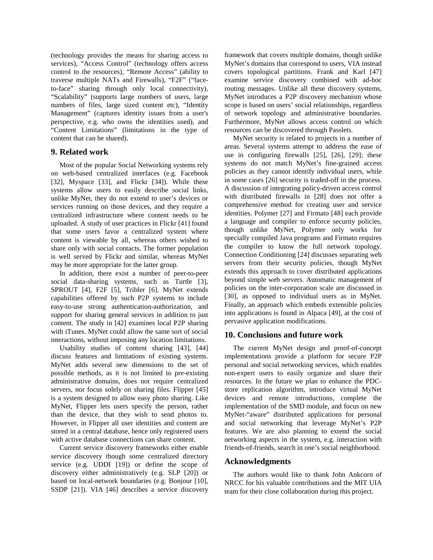(technology provides the means for sharing access to services), "Access Control" (technology offers access control to the resources), "Remote Access" (ability to traverse multiple NATs and Firewalls), "F2F" ("faceto-face" sharing through only local connectivity), "Scalability" (supports large numbers of users, large numbers of files, large sized content etc), "Identity Management" (captures identity issues from a user's perspective, e.g. who owns the identities used), and "Content Limitations" (limitations in the type of content that can be shared).

# **9. Related work**

Most of the popular Social Networking systems rely on web-based centralized interfaces (e.g. Facebook [32], Myspace [33], and Flickr [34]). While these systems allow users to easily describe social links, unlike MyNet, they do not extend to user's devices or services running on those devices, and they require a centralized infrastructure where content needs to be uploaded. A study of user practices in Flickr [41] found that some users favor a centralized system where content is viewable by all, whereas others wished to share only with social contacts. The former population is well served by Flickr and similar, whereas MyNet may be more appropriate for the latter group.

In addition, there exist a number of peer-to-peer social data-sharing systems, such as Turtle [3], SPROUT [4], F2F [5], Tribler [6]. MyNet extends capabilities offered by such P2P systems to include easy-to-use strong authentication-authorization, and support for sharing general services in addition to just content. The study in [42] examines local P2P sharing with iTunes. MyNet could allow the same sort of social interactions, without imposing any location limitations.

Usability studies of content sharing [43], [44] discuss features and limitations of existing systems. MyNet adds several new dimensions to the set of possible methods, as it is not limited to pre-existing administrative domains, does not require centralized servers, nor focus solely on sharing files. Flipper [45] is a system designed to allow easy photo sharing. Like MyNet, Flipper lets users specify the person, rather than the device, that they wish to send photos to. However, in Flipper all user identities and content are stored in a central database, hence only registered users with active database connections can share content.

Current service discovery frameworks either enable service discovery though some centralized directory service (e.g. UDDI [19]) or define the scope of discovery either administratively (e.g. SLP [20]) or based on local-network boundaries (e.g. Bonjour [10], SSDP [21]). VIA [46] describes a service discovery

framework that covers multiple domains, though unlike MyNet's domains that correspond to users, VIA instead covers topological partitions. Frank and Karl [47] examine service discovery combined with ad-hoc routing messages. Unlike all these discovery systems, MyNet introduces a P2P discovery mechanism whose scope is based on users' social relationships, regardless of network topology and administrative boundaries. Furthermore, MyNet allows access control on which resources can be discovered through Passlets.

MyNet security is related to projects in a number of areas. Several systems attempt to address the ease of use in configuring firewalls [25], [26], [29]; these systems do not match MyNet's fine-grained access policies as they cannot identify individual users, while in some cases [26] security is traded-off in the process. A discussion of integrating policy-driven access control with distributed firewalls in [28] does not offer a comprehensive method for creating user and service identities. Polymer [27] and Firmato [48] each provide a language and compiler to enforce security policies, though unlike MyNet, Polymer only works for specially compiled Java programs and Firmato requires the compiler to know the full network topology. Connection Conditioning [24] discusses separating web servers from their security policies, though MyNet extends this approach to cover distributed applications beyond simple web servers. Automatic management of policies on the inter-corporation scale are discussed in [30], as opposed to individual users as in MyNet. Finally, an approach which embeds extensible policies into applications is found in Alpaca [49], at the cost of pervasive application modifications.

# **10. Conclusions and future work**

The current MyNet design and proof-of-concept implementations provide a platform for secure P2P personal and social networking services, which enables non-expert users to easily organize and share their resources. In the future we plan to enhance the PDCstore replication algorithm, introduce virtual MyNet devices and remote introductions, complete the implementation of the SMD module, and focus on new MyNet-"aware" distributed applications for personal and social networking that leverage MyNet's P2P features. We are also planning to extend the social networking aspects in the system, e.g. interaction with friends-of-friends, search in one's social neighborhood.

# **Acknowledgments**

The authors would like to thank John Ankcorn of NRCC for his valuable contributions and the MIT UIA team for their close collaboration during this project.